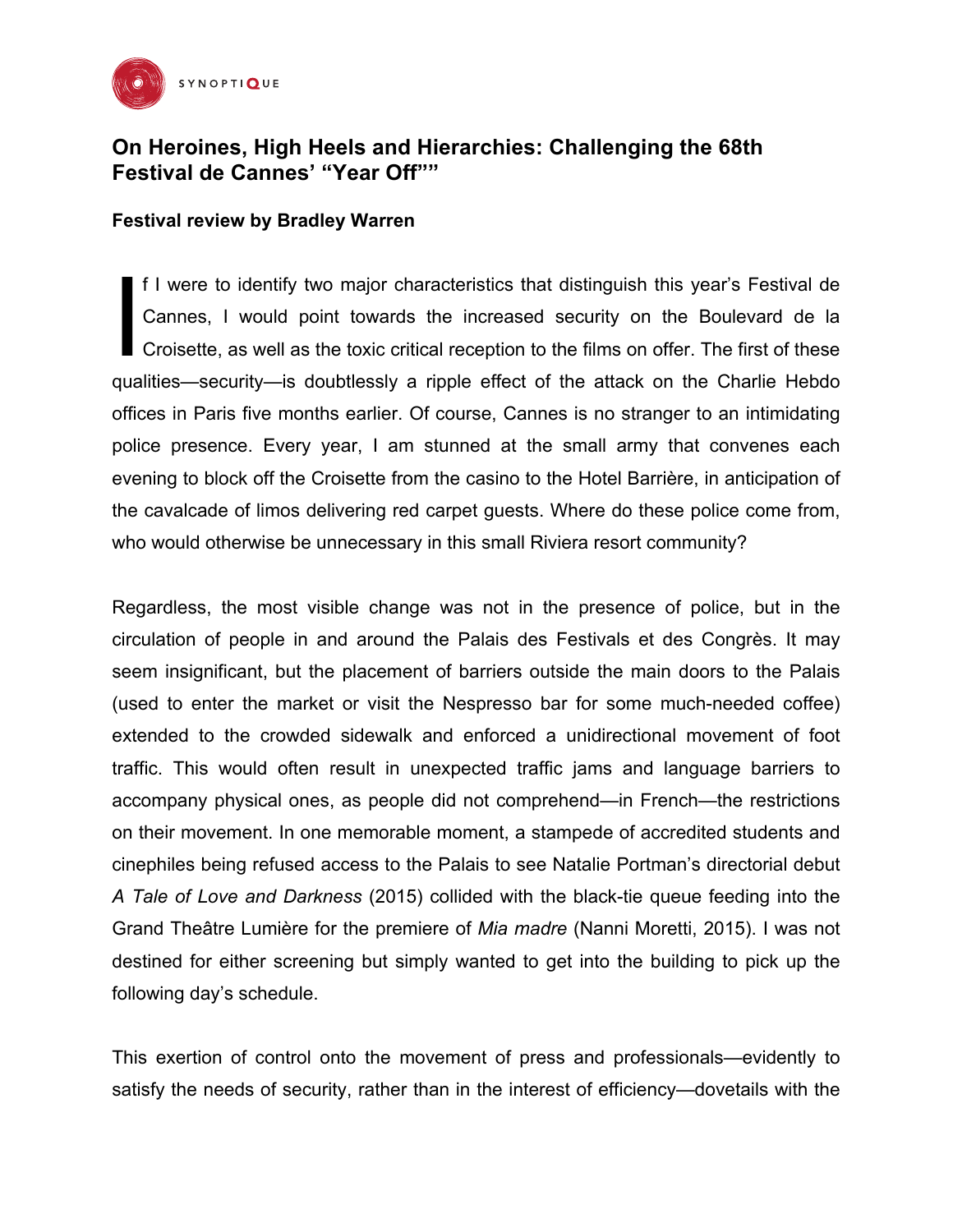

## **On Heroines, High Heels and Hierarchies: Challenging the 68th Festival de Cannes' "Year Off""**

## **Festival review by Bradley Warren**

f I were to identify two major characteristics that distinguish this year's Festival de Cannes, I would point towards the increased security on the Boulevard de la Croisette, as well as the toxic critical reception to the films on offer. The first of these qualities—security—is doubtlessly a ripple effect of the attack on the Charlie Hebdo offices in Paris five months earlier. Of course, Cannes is no stranger to an intimidating police presence. Every year, I am stunned at the small army that convenes each evening to block off the Croisette from the casino to the Hotel Barrière, in anticipation of the cavalcade of limos delivering red carpet guests. Where do these police come from, who would otherwise be unnecessary in this small Riviera resort community? I

Regardless, the most visible change was not in the presence of police, but in the circulation of people in and around the Palais des Festivals et des Congrès. It may seem insignificant, but the placement of barriers outside the main doors to the Palais (used to enter the market or visit the Nespresso bar for some much-needed coffee) extended to the crowded sidewalk and enforced a unidirectional movement of foot traffic. This would often result in unexpected traffic jams and language barriers to accompany physical ones, as people did not comprehend—in French—the restrictions on their movement. In one memorable moment, a stampede of accredited students and cinephiles being refused access to the Palais to see Natalie Portman's directorial debut *A Tale of Love and Darkness* (2015) collided with the black-tie queue feeding into the Grand Theâtre Lumière for the premiere of *Mia madre* (Nanni Moretti, 2015). I was not destined for either screening but simply wanted to get into the building to pick up the following day's schedule.

This exertion of control onto the movement of press and professionals—evidently to satisfy the needs of security, rather than in the interest of efficiency—dovetails with the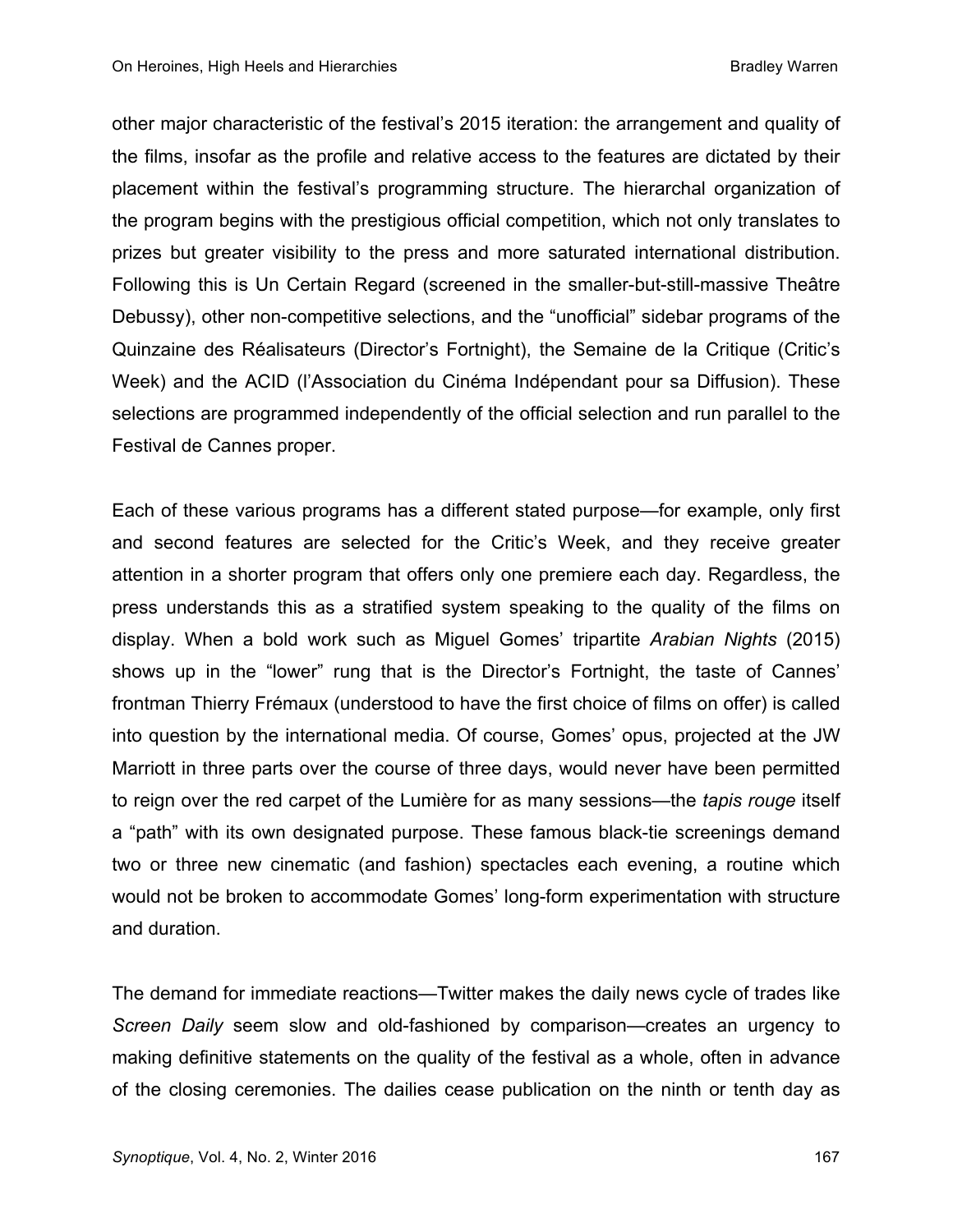other major characteristic of the festival's 2015 iteration: the arrangement and quality of the films, insofar as the profile and relative access to the features are dictated by their placement within the festival's programming structure. The hierarchal organization of the program begins with the prestigious official competition, which not only translates to prizes but greater visibility to the press and more saturated international distribution. Following this is Un Certain Regard (screened in the smaller-but-still-massive Theâtre Debussy), other non-competitive selections, and the "unofficial" sidebar programs of the Quinzaine des Réalisateurs (Director's Fortnight), the Semaine de la Critique (Critic's Week) and the ACID (l'Association du Cinéma Indépendant pour sa Diffusion). These selections are programmed independently of the official selection and run parallel to the Festival de Cannes proper.

Each of these various programs has a different stated purpose—for example, only first and second features are selected for the Critic's Week, and they receive greater attention in a shorter program that offers only one premiere each day. Regardless, the press understands this as a stratified system speaking to the quality of the films on display. When a bold work such as Miguel Gomes' tripartite *Arabian Nights* (2015) shows up in the "lower" rung that is the Director's Fortnight, the taste of Cannes' frontman Thierry Frémaux (understood to have the first choice of films on offer) is called into question by the international media. Of course, Gomes' opus, projected at the JW Marriott in three parts over the course of three days, would never have been permitted to reign over the red carpet of the Lumière for as many sessions—the *tapis rouge* itself a "path" with its own designated purpose. These famous black-tie screenings demand two or three new cinematic (and fashion) spectacles each evening, a routine which would not be broken to accommodate Gomes' long-form experimentation with structure and duration.

The demand for immediate reactions—Twitter makes the daily news cycle of trades like *Screen Daily* seem slow and old-fashioned by comparison—creates an urgency to making definitive statements on the quality of the festival as a whole, often in advance of the closing ceremonies. The dailies cease publication on the ninth or tenth day as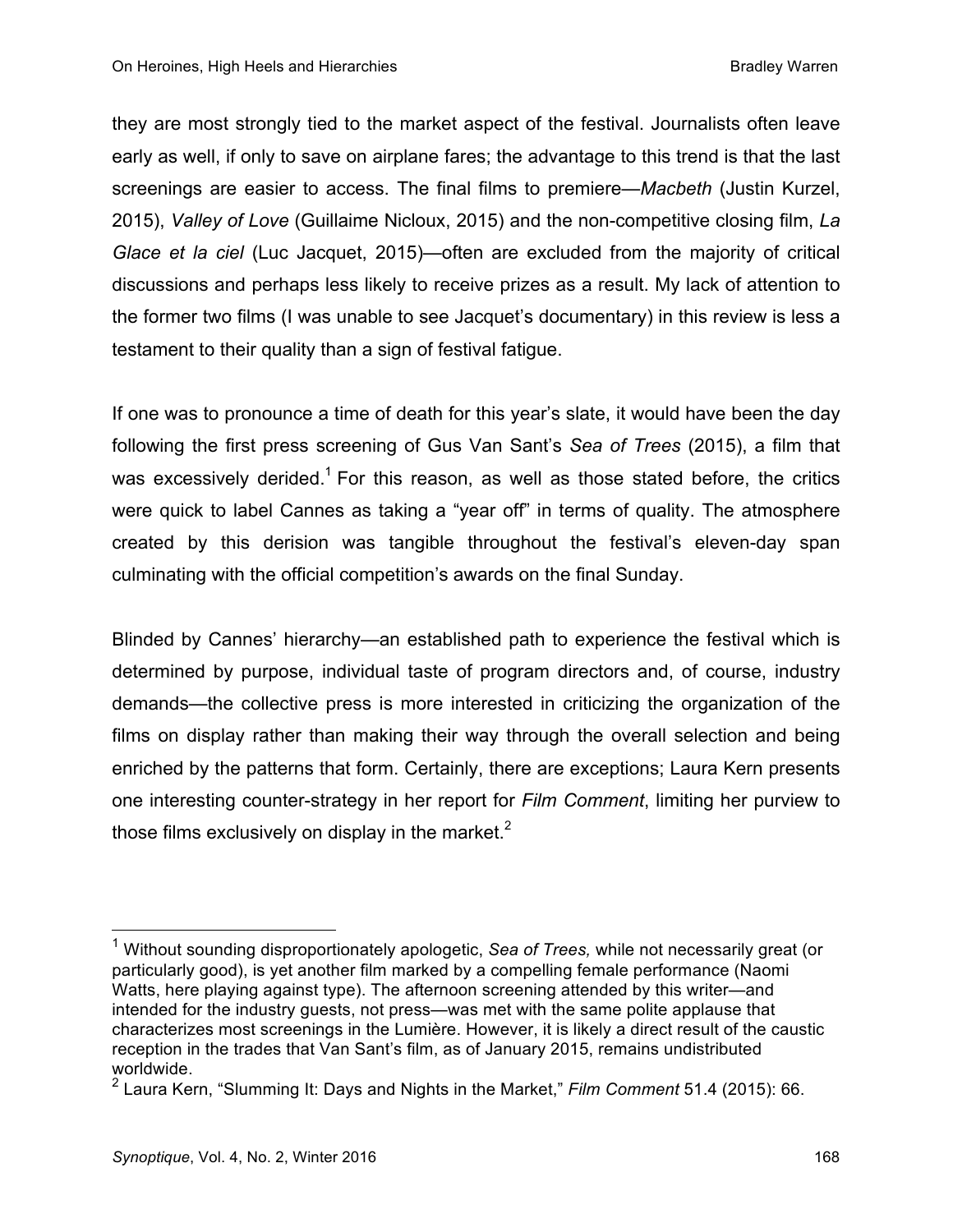they are most strongly tied to the market aspect of the festival. Journalists often leave early as well, if only to save on airplane fares; the advantage to this trend is that the last screenings are easier to access. The final films to premiere—*Macbeth* (Justin Kurzel, 2015), *Valley of Love* (Guillaime Nicloux, 2015) and the non-competitive closing film, *La Glace et la ciel* (Luc Jacquet, 2015)—often are excluded from the majority of critical discussions and perhaps less likely to receive prizes as a result. My lack of attention to the former two films (I was unable to see Jacquet's documentary) in this review is less a testament to their quality than a sign of festival fatigue.

If one was to pronounce a time of death for this year's slate, it would have been the day following the first press screening of Gus Van Sant's *Sea of Trees* (2015), a film that was excessively derided.<sup>1</sup> For this reason, as well as those stated before, the critics were quick to label Cannes as taking a "year off" in terms of quality. The atmosphere created by this derision was tangible throughout the festival's eleven-day span culminating with the official competition's awards on the final Sunday.

Blinded by Cannes' hierarchy—an established path to experience the festival which is determined by purpose, individual taste of program directors and, of course, industry demands—the collective press is more interested in criticizing the organization of the films on display rather than making their way through the overall selection and being enriched by the patterns that form. Certainly, there are exceptions; Laura Kern presents one interesting counter-strategy in her report for *Film Comment*, limiting her purview to those films exclusively on display in the market. $2$ 

<sup>1</sup> Without sounding disproportionately apologetic, *Sea of Trees,* while not necessarily great (or particularly good), is yet another film marked by a compelling female performance (Naomi Watts, here playing against type). The afternoon screening attended by this writer—and intended for the industry guests, not press—was met with the same polite applause that characterizes most screenings in the Lumière. However, it is likely a direct result of the caustic reception in the trades that Van Sant's film, as of January 2015, remains undistributed worldwide.

<sup>2</sup> Laura Kern, "Slumming It: Days and Nights in the Market," *Film Comment* 51.4 (2015): 66.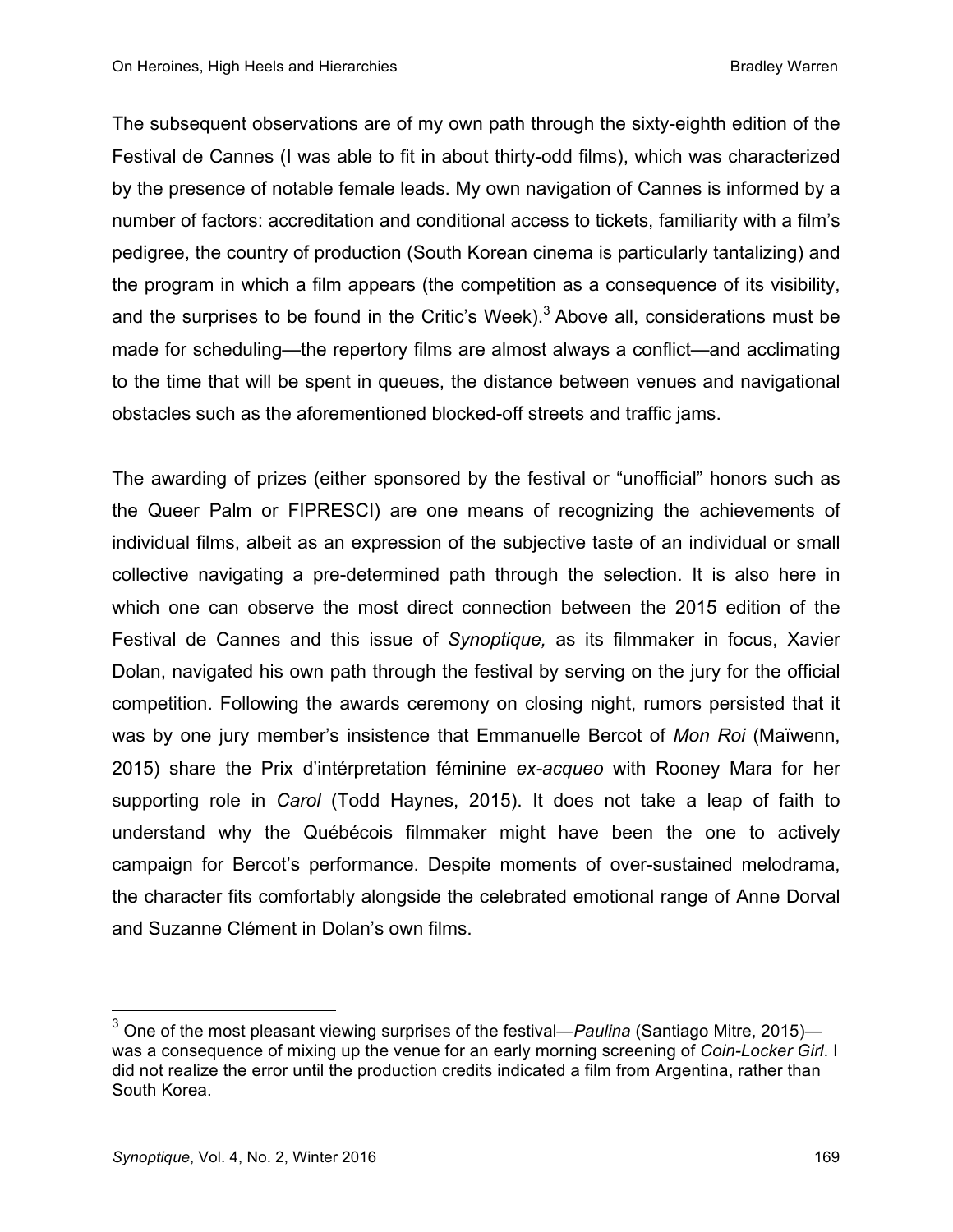The subsequent observations are of my own path through the sixty-eighth edition of the Festival de Cannes (I was able to fit in about thirty-odd films), which was characterized by the presence of notable female leads. My own navigation of Cannes is informed by a number of factors: accreditation and conditional access to tickets, familiarity with a film's pedigree, the country of production (South Korean cinema is particularly tantalizing) and the program in which a film appears (the competition as a consequence of its visibility, and the surprises to be found in the Critic's Week).<sup>3</sup> Above all, considerations must be made for scheduling—the repertory films are almost always a conflict—and acclimating to the time that will be spent in queues, the distance between venues and navigational obstacles such as the aforementioned blocked-off streets and traffic jams.

The awarding of prizes (either sponsored by the festival or "unofficial" honors such as the Queer Palm or FIPRESCI) are one means of recognizing the achievements of individual films, albeit as an expression of the subjective taste of an individual or small collective navigating a pre-determined path through the selection. It is also here in which one can observe the most direct connection between the 2015 edition of the Festival de Cannes and this issue of *Synoptique,* as its filmmaker in focus, Xavier Dolan, navigated his own path through the festival by serving on the jury for the official competition. Following the awards ceremony on closing night, rumors persisted that it was by one jury member's insistence that Emmanuelle Bercot of *Mon Roi* (Maïwenn, 2015) share the Prix d'intérpretation féminine *ex-acqueo* with Rooney Mara for her supporting role in *Carol* (Todd Haynes, 2015). It does not take a leap of faith to understand why the Québécois filmmaker might have been the one to actively campaign for Bercot's performance. Despite moments of over-sustained melodrama, the character fits comfortably alongside the celebrated emotional range of Anne Dorval and Suzanne Clément in Dolan's own films.

<sup>3</sup> One of the most pleasant viewing surprises of the festival—*Paulina* (Santiago Mitre, 2015) was a consequence of mixing up the venue for an early morning screening of *Coin-Locker Girl*. I did not realize the error until the production credits indicated a film from Argentina, rather than South Korea.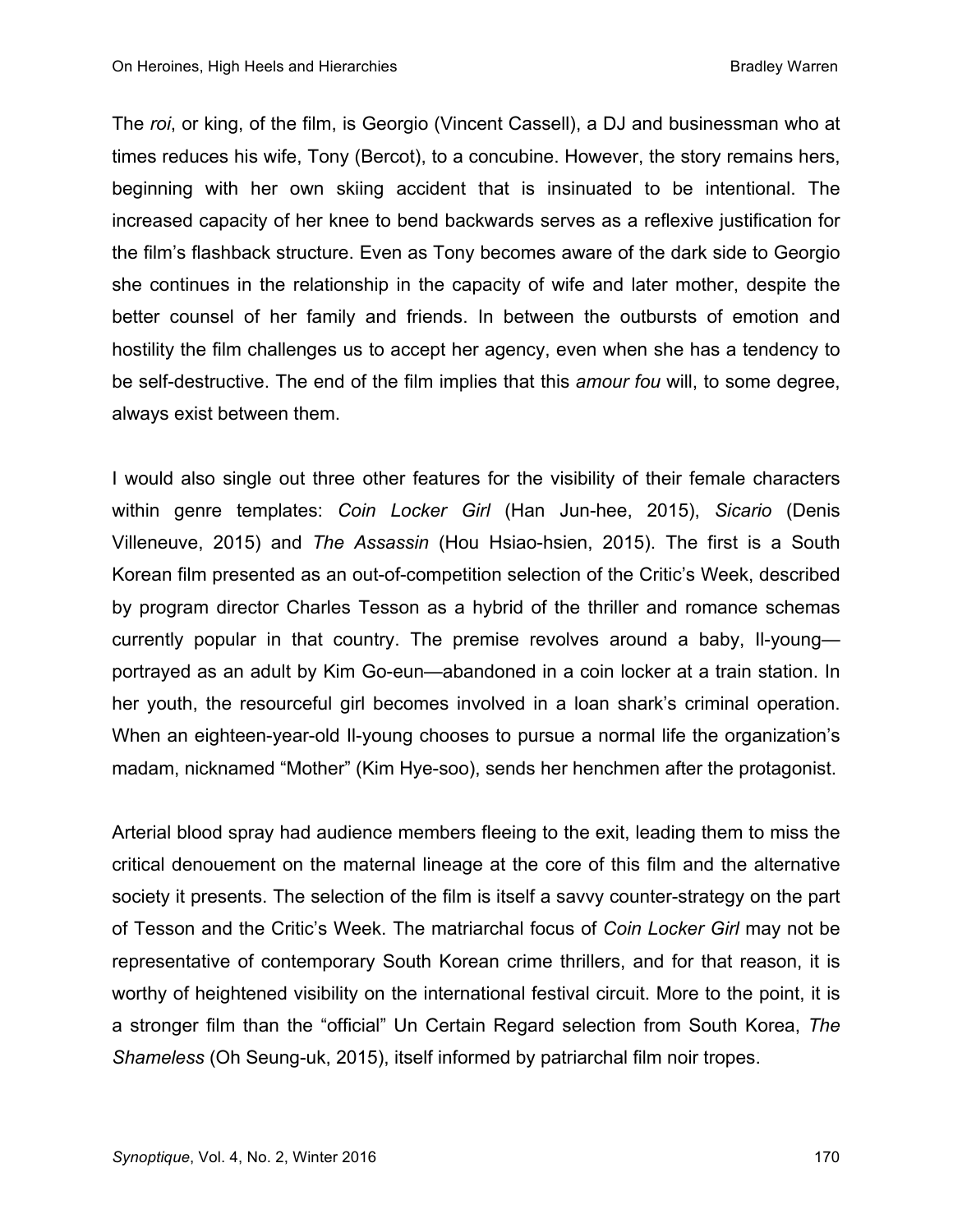The *roi*, or king, of the film, is Georgio (Vincent Cassell), a DJ and businessman who at times reduces his wife, Tony (Bercot), to a concubine. However, the story remains hers, beginning with her own skiing accident that is insinuated to be intentional. The increased capacity of her knee to bend backwards serves as a reflexive justification for the film's flashback structure. Even as Tony becomes aware of the dark side to Georgio she continues in the relationship in the capacity of wife and later mother, despite the better counsel of her family and friends. In between the outbursts of emotion and hostility the film challenges us to accept her agency, even when she has a tendency to be self-destructive. The end of the film implies that this *amour fou* will, to some degree, always exist between them.

I would also single out three other features for the visibility of their female characters within genre templates: *Coin Locker Girl* (Han Jun-hee, 2015), *Sicario* (Denis Villeneuve, 2015) and *The Assassin* (Hou Hsiao-hsien, 2015). The first is a South Korean film presented as an out-of-competition selection of the Critic's Week, described by program director Charles Tesson as a hybrid of the thriller and romance schemas currently popular in that country. The premise revolves around a baby, Il-young portrayed as an adult by Kim Go-eun—abandoned in a coin locker at a train station. In her youth, the resourceful girl becomes involved in a loan shark's criminal operation. When an eighteen-year-old Il-young chooses to pursue a normal life the organization's madam, nicknamed "Mother" (Kim Hye-soo), sends her henchmen after the protagonist.

Arterial blood spray had audience members fleeing to the exit, leading them to miss the critical denouement on the maternal lineage at the core of this film and the alternative society it presents. The selection of the film is itself a savvy counter-strategy on the part of Tesson and the Critic's Week. The matriarchal focus of *Coin Locker Girl* may not be representative of contemporary South Korean crime thrillers, and for that reason, it is worthy of heightened visibility on the international festival circuit. More to the point, it is a stronger film than the "official" Un Certain Regard selection from South Korea, *The Shameless* (Oh Seung-uk, 2015), itself informed by patriarchal film noir tropes.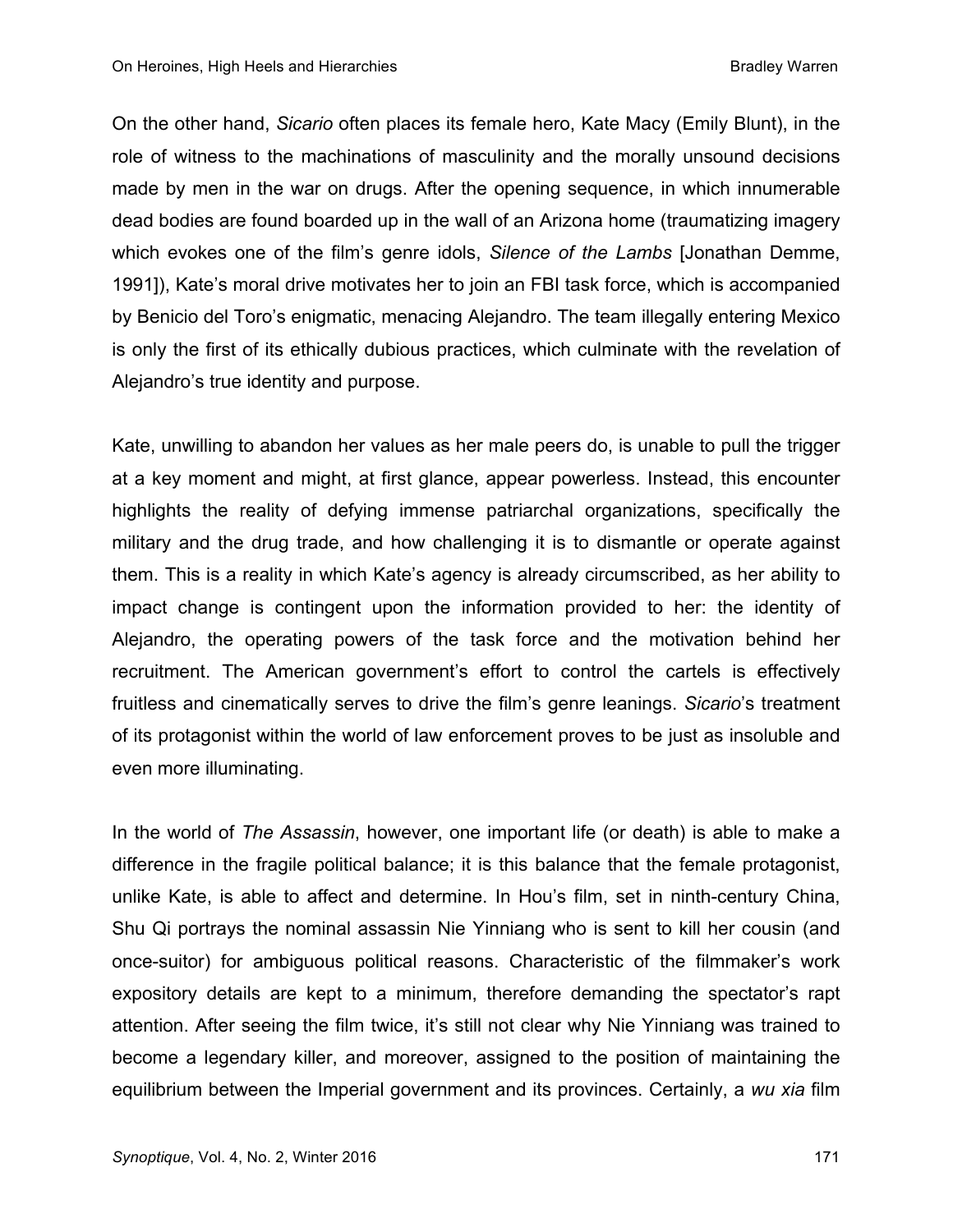On the other hand, *Sicario* often places its female hero, Kate Macy (Emily Blunt), in the role of witness to the machinations of masculinity and the morally unsound decisions made by men in the war on drugs. After the opening sequence, in which innumerable dead bodies are found boarded up in the wall of an Arizona home (traumatizing imagery which evokes one of the film's genre idols, *Silence of the Lambs* [Jonathan Demme, 1991]), Kate's moral drive motivates her to join an FBI task force, which is accompanied by Benicio del Toro's enigmatic, menacing Alejandro. The team illegally entering Mexico is only the first of its ethically dubious practices, which culminate with the revelation of Alejandro's true identity and purpose.

Kate, unwilling to abandon her values as her male peers do, is unable to pull the trigger at a key moment and might, at first glance, appear powerless. Instead, this encounter highlights the reality of defying immense patriarchal organizations, specifically the military and the drug trade, and how challenging it is to dismantle or operate against them. This is a reality in which Kate's agency is already circumscribed, as her ability to impact change is contingent upon the information provided to her: the identity of Alejandro, the operating powers of the task force and the motivation behind her recruitment. The American government's effort to control the cartels is effectively fruitless and cinematically serves to drive the film's genre leanings. *Sicario*'s treatment of its protagonist within the world of law enforcement proves to be just as insoluble and even more illuminating.

In the world of *The Assassin*, however, one important life (or death) is able to make a difference in the fragile political balance; it is this balance that the female protagonist, unlike Kate, is able to affect and determine. In Hou's film, set in ninth-century China, Shu Qi portrays the nominal assassin Nie Yinniang who is sent to kill her cousin (and once-suitor) for ambiguous political reasons. Characteristic of the filmmaker's work expository details are kept to a minimum, therefore demanding the spectator's rapt attention. After seeing the film twice, it's still not clear why Nie Yinniang was trained to become a legendary killer, and moreover, assigned to the position of maintaining the equilibrium between the Imperial government and its provinces. Certainly, a *wu xia* film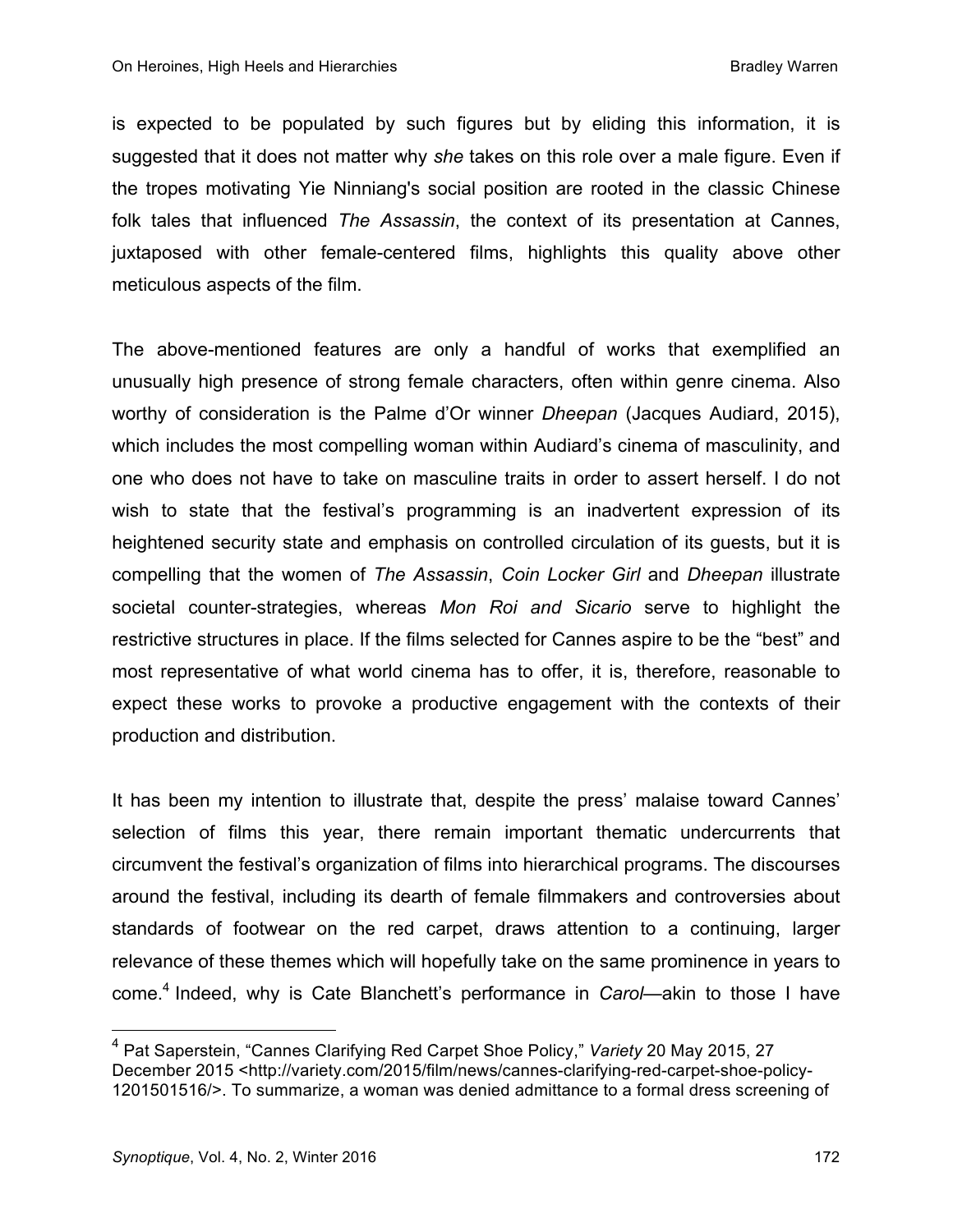is expected to be populated by such figures but by eliding this information, it is suggested that it does not matter why *she* takes on this role over a male figure. Even if the tropes motivating Yie Ninniang's social position are rooted in the classic Chinese folk tales that influenced *The Assassin*, the context of its presentation at Cannes, juxtaposed with other female-centered films, highlights this quality above other meticulous aspects of the film.

The above-mentioned features are only a handful of works that exemplified an unusually high presence of strong female characters, often within genre cinema. Also worthy of consideration is the Palme d'Or winner *Dheepan* (Jacques Audiard, 2015), which includes the most compelling woman within Audiard's cinema of masculinity, and one who does not have to take on masculine traits in order to assert herself. I do not wish to state that the festival's programming is an inadvertent expression of its heightened security state and emphasis on controlled circulation of its guests, but it is compelling that the women of *The Assassin*, *Coin Locker Girl* and *Dheepan* illustrate societal counter-strategies, whereas *Mon Roi and Sicario* serve to highlight the restrictive structures in place. If the films selected for Cannes aspire to be the "best" and most representative of what world cinema has to offer, it is, therefore, reasonable to expect these works to provoke a productive engagement with the contexts of their production and distribution.

It has been my intention to illustrate that, despite the press' malaise toward Cannes' selection of films this year, there remain important thematic undercurrents that circumvent the festival's organization of films into hierarchical programs. The discourses around the festival, including its dearth of female filmmakers and controversies about standards of footwear on the red carpet, draws attention to a continuing, larger relevance of these themes which will hopefully take on the same prominence in years to come.4 Indeed, why is Cate Blanchett's performance in *Carol*—akin to those I have

<sup>4</sup> Pat Saperstein, "Cannes Clarifying Red Carpet Shoe Policy," *Variety* <sup>20</sup> May 2015, <sup>27</sup> December 2015 <http://variety.com/2015/film/news/cannes-clarifying-red-carpet-shoe-policy-1201501516/>. To summarize, a woman was denied admittance to a formal dress screening of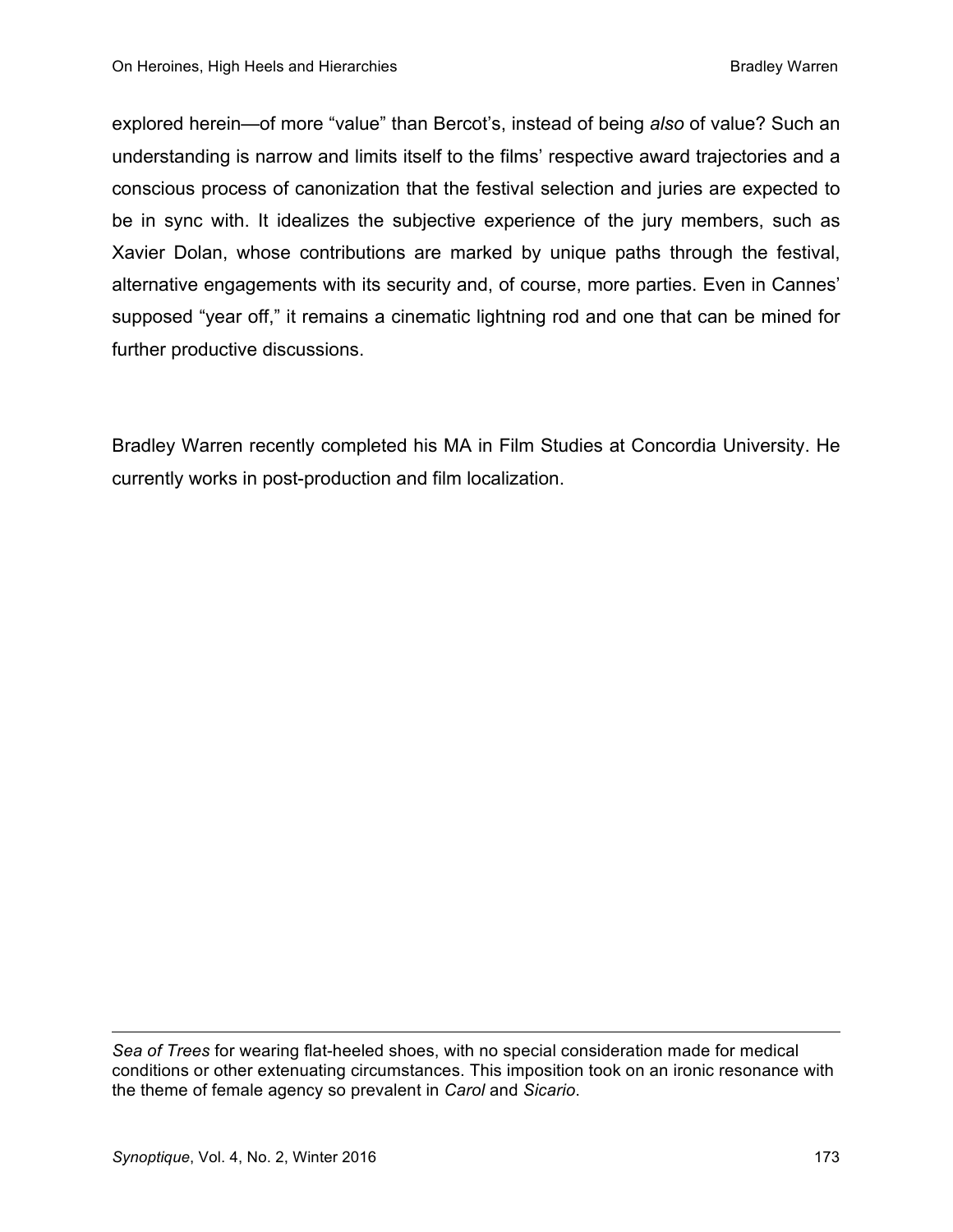explored herein—of more "value" than Bercot's, instead of being *also* of value? Such an understanding is narrow and limits itself to the films' respective award trajectories and a conscious process of canonization that the festival selection and juries are expected to be in sync with. It idealizes the subjective experience of the jury members, such as Xavier Dolan, whose contributions are marked by unique paths through the festival, alternative engagements with its security and, of course, more parties. Even in Cannes' supposed "year off," it remains a cinematic lightning rod and one that can be mined for further productive discussions.

Bradley Warren recently completed his MA in Film Studies at Concordia University. He currently works in post-production and film localization.

 $\overline{a}$ 

*Sea of Trees* for wearing flat-heeled shoes, with no special consideration made for medical conditions or other extenuating circumstances. This imposition took on an ironic resonance with the theme of female agency so prevalent in *Carol* and *Sicario*.